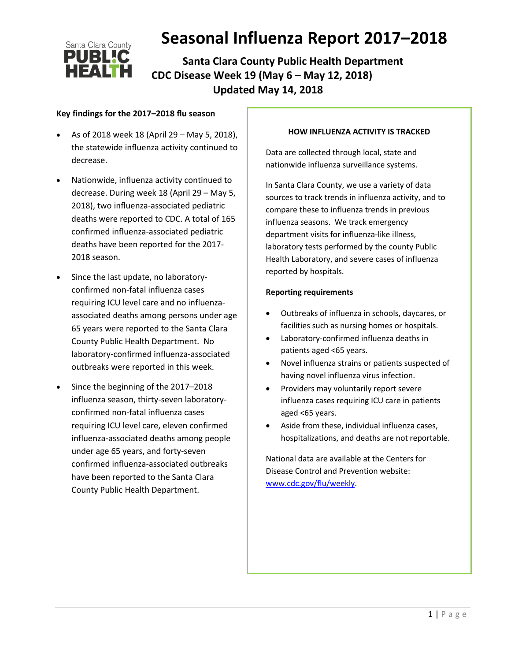

 **Santa Clara County Public Health Department CDC Disease Week 19 (May 6 – May 12, 2018) Updated May 14, 2018**

### **Key findings for the 2017–2018 flu season**

- As of 2018 week 18 (April 29 May 5, 2018), the statewide influenza activity continued to decrease.
- Nationwide, influenza activity continued to decrease. During week 18 (April 29 – May 5, 2018), two influenza-associated pediatric deaths were reported to CDC. A total of 165 confirmed influenza-associated pediatric deaths have been reported for the 2017- 2018 season.
- Since the last update, no laboratoryconfirmed non-fatal influenza cases requiring ICU level care and no influenzaassociated deaths among persons under age 65 years were reported to the Santa Clara County Public Health Department. No laboratory-confirmed influenza-associated outbreaks were reported in this week.
- Since the beginning of the 2017–2018 influenza season, thirty-seven laboratoryconfirmed non-fatal influenza cases requiring ICU level care, eleven confirmed influenza-associated deaths among people under age 65 years, and forty-seven confirmed influenza-associated outbreaks have been reported to the Santa Clara County Public Health Department.

#### **HOW INFLUENZA ACTIVITY IS TRACKED**

Data are collected through local, state and nationwide influenza surveillance systems.

In Santa Clara County, we use a variety of data sources to track trends in influenza activity, and to compare these to influenza trends in previous influenza seasons. We track emergency department visits for influenza-like illness, laboratory tests performed by the county Public Health Laboratory, and severe cases of influenza reported by hospitals.

#### **Reporting requirements**

- Outbreaks of influenza in schools, daycares, or facilities such as nursing homes or hospitals.
- Laboratory-confirmed influenza deaths in patients aged <65 years.
- Novel influenza strains or patients suspected of having novel influenza virus infection.
- Providers may voluntarily report severe influenza cases requiring ICU care in patients aged <65 years.
- Aside from these, individual influenza cases, hospitalizations, and deaths are not reportable.

National data are available at the Centers for Disease Control and Prevention website: [www.cdc.gov/flu/weekly.](http://www.cdc.gov/flu/weekly)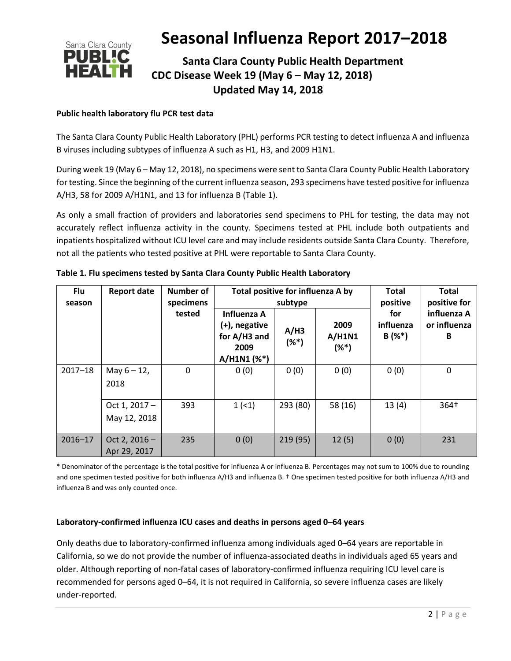

### **Santa Clara County Public Health Department CDC Disease Week 19 (May 6 – May 12, 2018) Updated May 14, 2018**

### **Public health laboratory flu PCR test data**

The Santa Clara County Public Health Laboratory (PHL) performs PCR testing to detect influenza A and influenza B viruses including subtypes of influenza A such as H1, H3, and 2009 H1N1.

During week 19 (May 6 – May 12, 2018), no specimens were sent to Santa Clara County Public Health Laboratory for testing. Since the beginning of the current influenza season, 293 specimens have tested positive for influenza A/H3, 58 for 2009 A/H1N1, and 13 for influenza B (Table 1).

As only a small fraction of providers and laboratories send specimens to PHL for testing, the data may not accurately reflect influenza activity in the county. Specimens tested at PHL include both outpatients and inpatients hospitalized without ICU level care and may include residents outside Santa Clara County. Therefore, not all the patients who tested positive at PHL were reportable to Santa Clara County.

| Flu<br>season | <b>Report date</b>              | Number of<br>specimens | Total positive for influenza A by                                   | subtype         | <b>Total</b><br>positive  | <b>Total</b><br>positive for |                                  |  |
|---------------|---------------------------------|------------------------|---------------------------------------------------------------------|-----------------|---------------------------|------------------------------|----------------------------------|--|
|               |                                 | tested                 | Influenza A<br>(+), negative<br>for A/H3 and<br>2009<br>A/H1N1 (%*) | A/H3<br>$(%^*)$ | 2009<br>A/H1N1<br>$(%^*)$ | for<br>influenza<br>$B(%^*)$ | influenza A<br>or influenza<br>B |  |
| $2017 - 18$   | May $6 - 12$ ,<br>2018          | 0                      | 0(0)                                                                | 0(0)            | 0(0)                      | 0(0)                         | 0                                |  |
|               | Oct 1, $2017 -$<br>May 12, 2018 | 393                    | 1(1)                                                                | 293 (80)        | 58 (16)                   | 13(4)                        | 364†                             |  |
| $2016 - 17$   | Oct 2, $2016 -$<br>Apr 29, 2017 | 235                    | 0(0)                                                                | 219 (95)        | 12(5)                     | 0(0)                         | 231                              |  |

\* Denominator of the percentage is the total positive for influenza A or influenza B. Percentages may not sum to 100% due to rounding and one specimen tested positive for both influenza A/H3 and influenza B. † One specimen tested positive for both influenza A/H3 and influenza B and was only counted once.

#### **Laboratory-confirmed influenza ICU cases and deaths in persons aged 0–64 years**

Only deaths due to laboratory-confirmed influenza among individuals aged 0–64 years are reportable in California, so we do not provide the number of influenza-associated deaths in individuals aged 65 years and older. Although reporting of non-fatal cases of laboratory-confirmed influenza requiring ICU level care is recommended for persons aged 0–64, it is not required in California, so severe influenza cases are likely under-reported.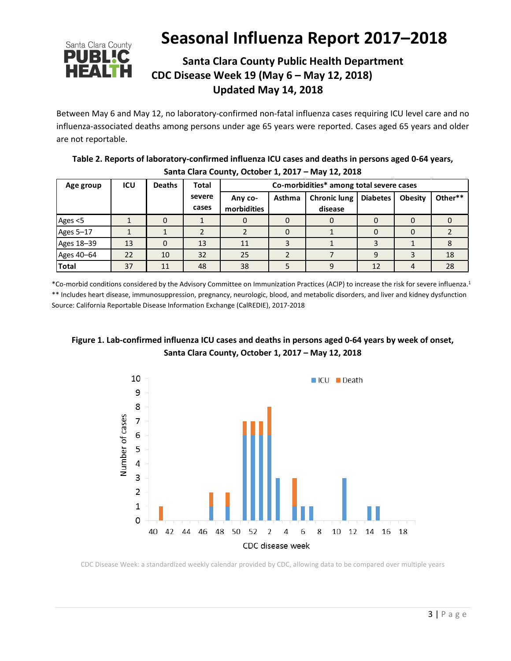

## **Santa Clara County Public Health Department CDC Disease Week 19 (May 6 – May 12, 2018) Updated May 14, 2018**

Between May 6 and May 12, no laboratory-confirmed non-fatal influenza cases requiring ICU level care and no influenza-associated deaths among persons under age 65 years were reported. Cases aged 65 years and older are not reportable.

| Table 2. Reports of laboratory-confirmed influenza ICU cases and deaths in persons aged 0-64 years, |
|-----------------------------------------------------------------------------------------------------|
| Santa Clara County, October 1, 2017 - May 12, 2018                                                  |

| Age group    | <b>ICU</b> | <b>Deaths</b> | <b>Total</b>    | Co-morbidities* among total severe cases |        |                                |                 |                |         |  |
|--------------|------------|---------------|-----------------|------------------------------------------|--------|--------------------------------|-----------------|----------------|---------|--|
|              |            |               | severe<br>cases | Any co-<br>morbidities                   | Asthma | <b>Chronic lung</b><br>disease | <b>Diabetes</b> | <b>Obesity</b> | Other** |  |
| Ages <5      |            |               |                 | O                                        | 0      | O                              | 0               |                |         |  |
| Ages 5-17    |            |               |                 |                                          | 0      |                                | 0               |                |         |  |
| Ages 18-39   | 13         |               | 13              | 11                                       |        |                                |                 |                |         |  |
| Ages 40-64   | 22         | 10            | 32              | 25                                       |        |                                | 9               |                | 18      |  |
| <b>Total</b> | 37         | 11            | 48              | 38                                       |        |                                | 12              |                | 28      |  |

\*Co-morbid conditions considered by the Advisory Committee on Immunization Practices (ACIP) to increase the risk for severe influenza. 1 \*\* Includes heart disease, immunosuppression, pregnancy, neurologic, blood, and metabolic disorders, and liver and kidney dysfunction Source: California Reportable Disease Information Exchange (CalREDIE), 2017-2018

### **Figure 1. Lab-confirmed influenza ICU cases and deaths in persons aged 0-64 years by week of onset, Santa Clara County, October 1, 2017 – May 12, 2018**



CDC Disease Week: a standardized weekly calendar provided by CDC, allowing data to be compared over multiple years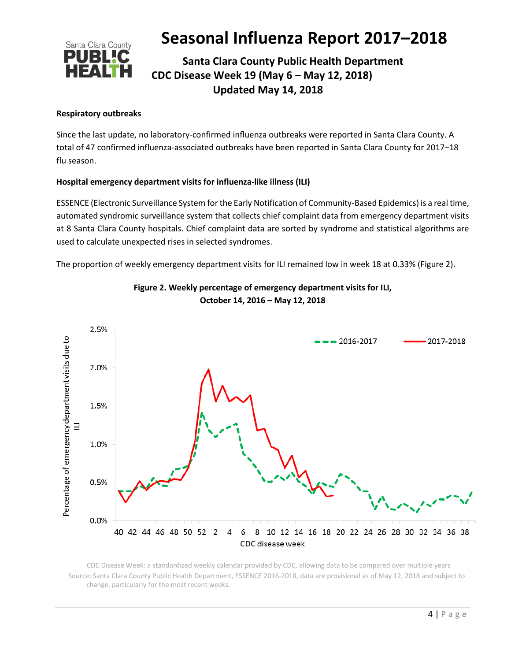

## **Santa Clara County Public Health Department CDC Disease Week 19 (May 6 – May 12, 2018) Updated May 14, 2018**

### **Respiratory outbreaks**

Since the last update, no laboratory-confirmed influenza outbreaks were reported in Santa Clara County. A total of 47 confirmed influenza-associated outbreaks have been reported in Santa Clara County for 2017–18 flu season.

### **Hospital emergency department visits for influenza-like illness (ILI)**

ESSENCE (Electronic Surveillance System for the Early Notification of Community-Based Epidemics) is a real time, automated syndromic surveillance system that collects chief complaint data from emergency department visits at 8 Santa Clara County hospitals. Chief complaint data are sorted by syndrome and statistical algorithms are used to calculate unexpected rises in selected syndromes.

The proportion of weekly emergency department visits for ILI remained low in week 18 at 0.33% (Figure 2).



### **Figure 2. Weekly percentage of emergency department visits for ILI, October 14, 2016 – May 12, 2018**

 CDC Disease Week: a standardized weekly calendar provided by CDC, allowing data to be compared over multiple years Source: Santa Clara County Public Health Department, ESSENCE 2016-2018, data are provisional as of May 12, 2018 and subject to change, particularly for the most recent weeks.